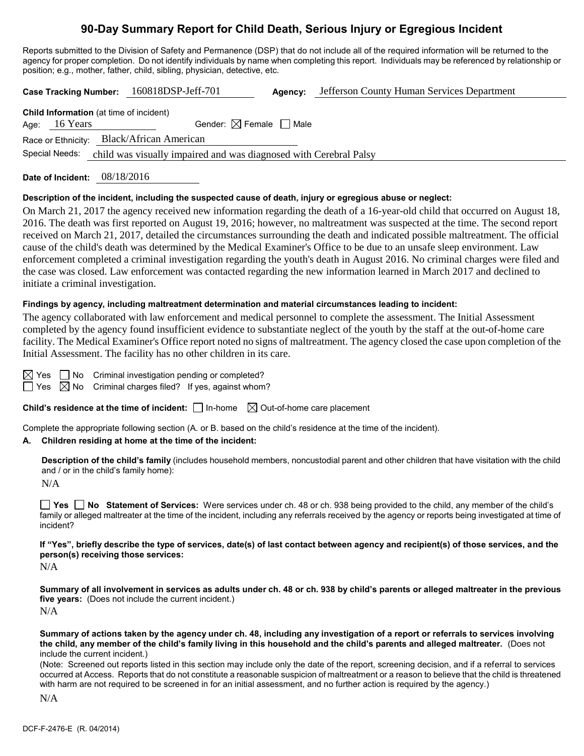# **90-Day Summary Report for Child Death, Serious Injury or Egregious Incident**

Reports submitted to the Division of Safety and Permanence (DSP) that do not include all of the required information will be returned to the agency for proper completion. Do not identify individuals by name when completing this report. Individuals may be referenced by relationship or position; e.g., mother, father, child, sibling, physician, detective, etc.

**Case Tracking Number:** 160818DSP-Jeff-701 **Agency:** Jefferson County Human Services Department

| <b>Child Information</b> (at time of incident)                                   |               |                                        |  |  |  |  |
|----------------------------------------------------------------------------------|---------------|----------------------------------------|--|--|--|--|
|                                                                                  | Age: 16 Years | Gender: $\boxtimes$ Female $\Box$ Male |  |  |  |  |
| Race or Ethnicity: Black/African American                                        |               |                                        |  |  |  |  |
| Special Needs: child was visually impaired and was diagnosed with Cerebral Palsy |               |                                        |  |  |  |  |
|                                                                                  |               |                                        |  |  |  |  |

**Date of Incident:** 08/18/2016

## **Description of the incident, including the suspected cause of death, injury or egregious abuse or neglect:**

On March 21, 2017 the agency received new information regarding the death of a 16-year-old child that occurred on August 18, 2016. The death was first reported on August 19, 2016; however, no maltreatment was suspected at the time. The second report received on March 21, 2017, detailed the circumstances surrounding the death and indicated possible maltreatment. The official cause of the child's death was determined by the Medical Examiner's Office to be due to an unsafe sleep environment. Law enforcement completed a criminal investigation regarding the youth's death in August 2016. No criminal charges were filed and the case was closed. Law enforcement was contacted regarding the new information learned in March 2017 and declined to initiate a criminal investigation.

#### **Findings by agency, including maltreatment determination and material circumstances leading to incident:**

The agency collaborated with law enforcement and medical personnel to complete the assessment. The Initial Assessment completed by the agency found insufficient evidence to substantiate neglect of the youth by the staff at the out-of-home care facility. The Medical Examiner's Office report noted no signs of maltreatment. The agency closed the case upon completion of the Initial Assessment. The facility has no other children in its care.

 $\boxtimes$  Yes  $\parallel$  No Criminal investigation pending or completed?

 $\Box$  Yes  $\boxtimes$  No Criminal charges filed? If yes, against whom?

**Child's residence at the time of incident:**  $\Box$  In-home  $\Box$  Out-of-home care placement

Complete the appropriate following section (A. or B. based on the child's residence at the time of the incident).

## **A. Children residing at home at the time of the incident:**

**Description of the child's family** (includes household members, noncustodial parent and other children that have visitation with the child and / or in the child's family home):

N/A

■ Yes ■ No Statement of Services: Were services under ch. 48 or ch. 938 being provided to the child, any member of the child's family or alleged maltreater at the time of the incident, including any referrals received by the agency or reports being investigated at time of incident?

**If "Yes", briefly describe the type of services, date(s) of last contact between agency and recipient(s) of those services, and the person(s) receiving those services:**

N/A

**Summary of all involvement in services as adults under ch. 48 or ch. 938 by child's parents or alleged maltreater in the previous five years:** (Does not include the current incident.) N/A

**Summary of actions taken by the agency under ch. 48, including any investigation of a report or referrals to services involving the child, any member of the child's family living in this household and the child's parents and alleged maltreater.** (Does not include the current incident.)

(Note: Screened out reports listed in this section may include only the date of the report, screening decision, and if a referral to services occurred at Access. Reports that do not constitute a reasonable suspicion of maltreatment or a reason to believe that the child is threatened with harm are not required to be screened in for an initial assessment, and no further action is required by the agency.)

N/A